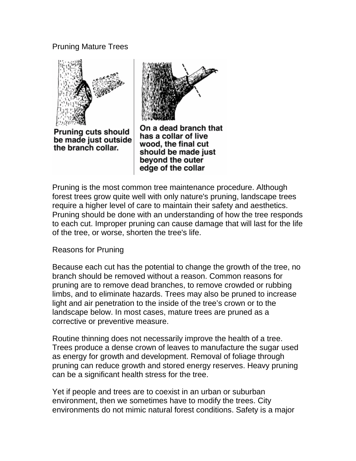# Pruning Mature Trees



**Pruning cuts should** be made just outside the branch collar.



On a dead branch that has a collar of live wood, the final cut should be made just beyond the outer edge of the collar

Pruning is the most common tree maintenance procedure. Although forest trees grow quite well with only nature's pruning, landscape trees require a higher level of care to maintain their safety and aesthetics. Pruning should be done with an understanding of how the tree responds to each cut. Improper pruning can cause damage that will last for the life of the tree, or worse, shorten the tree's life.

Reasons for Pruning

Because each cut has the potential to change the growth of the tree, no branch should be removed without a reason. Common reasons for pruning are to remove dead branches, to remove crowded or rubbing limbs, and to eliminate hazards. Trees may also be pruned to increase light and air penetration to the inside of the tree's crown or to the landscape below. In most cases, mature trees are pruned as a corrective or preventive measure.

Routine thinning does not necessarily improve the health of a tree. Trees produce a dense crown of leaves to manufacture the sugar used as energy for growth and development. Removal of foliage through pruning can reduce growth and stored energy reserves. Heavy pruning can be a significant health stress for the tree.

Yet if people and trees are to coexist in an urban or suburban environment, then we sometimes have to modify the trees. City environments do not mimic natural forest conditions. Safety is a major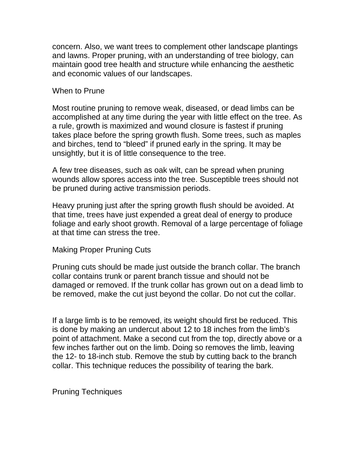concern. Also, we want trees to complement other landscape plantings and lawns. Proper pruning, with an understanding of tree biology, can maintain good tree health and structure while enhancing the aesthetic and economic values of our landscapes.

### When to Prune

Most routine pruning to remove weak, diseased, or dead limbs can be accomplished at any time during the year with little effect on the tree. As a rule, growth is maximized and wound closure is fastest if pruning takes place before the spring growth flush. Some trees, such as maples and birches, tend to "bleed" if pruned early in the spring. It may be unsightly, but it is of little consequence to the tree.

A few tree diseases, such as oak wilt, can be spread when pruning wounds allow spores access into the tree. Susceptible trees should not be pruned during active transmission periods.

Heavy pruning just after the spring growth flush should be avoided. At that time, trees have just expended a great deal of energy to produce foliage and early shoot growth. Removal of a large percentage of foliage at that time can stress the tree.

## Making Proper Pruning Cuts

Pruning cuts should be made just outside the branch collar. The branch collar contains trunk or parent branch tissue and should not be damaged or removed. If the trunk collar has grown out on a dead limb to be removed, make the cut just beyond the collar. Do not cut the collar.

If a large limb is to be removed, its weight should first be reduced. This is done by making an undercut about 12 to 18 inches from the limb's point of attachment. Make a second cut from the top, directly above or a few inches farther out on the limb. Doing so removes the limb, leaving the 12- to 18-inch stub. Remove the stub by cutting back to the branch collar. This technique reduces the possibility of tearing the bark.

Pruning Techniques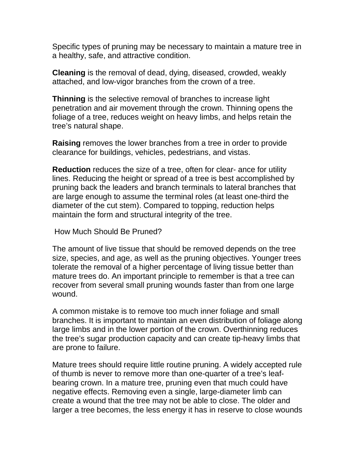Specific types of pruning may be necessary to maintain a mature tree in a healthy, safe, and attractive condition.

**Cleaning** is the removal of dead, dying, diseased, crowded, weakly attached, and low-vigor branches from the crown of a tree.

**Thinning** is the selective removal of branches to increase light penetration and air movement through the crown. Thinning opens the foliage of a tree, reduces weight on heavy limbs, and helps retain the tree's natural shape.

**Raising** removes the lower branches from a tree in order to provide clearance for buildings, vehicles, pedestrians, and vistas.

**Reduction** reduces the size of a tree, often for clear- ance for utility lines. Reducing the height or spread of a tree is best accomplished by pruning back the leaders and branch terminals to lateral branches that are large enough to assume the terminal roles (at least one-third the diameter of the cut stem). Compared to topping, reduction helps maintain the form and structural integrity of the tree.

How Much Should Be Pruned?

The amount of live tissue that should be removed depends on the tree size, species, and age, as well as the pruning objectives. Younger trees tolerate the removal of a higher percentage of living tissue better than mature trees do. An important principle to remember is that a tree can recover from several small pruning wounds faster than from one large wound.

A common mistake is to remove too much inner foliage and small branches. It is important to maintain an even distribution of foliage along large limbs and in the lower portion of the crown. Overthinning reduces the tree's sugar production capacity and can create tip-heavy limbs that are prone to failure.

Mature trees should require little routine pruning. A widely accepted rule of thumb is never to remove more than one-quarter of a tree's leafbearing crown. In a mature tree, pruning even that much could have negative effects. Removing even a single, large-diameter limb can create a wound that the tree may not be able to close. The older and larger a tree becomes, the less energy it has in reserve to close wounds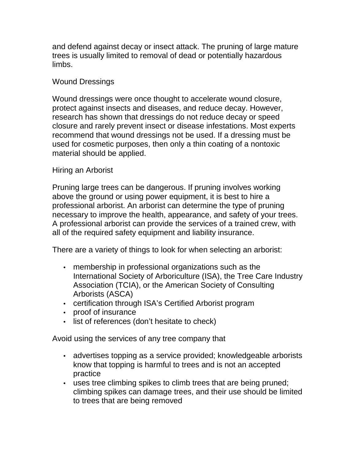and defend against decay or insect attack. The pruning of large mature trees is usually limited to removal of dead or potentially hazardous limbs.

## Wound Dressings

Wound dressings were once thought to accelerate wound closure, protect against insects and diseases, and reduce decay. However, research has shown that dressings do not reduce decay or speed closure and rarely prevent insect or disease infestations. Most experts recommend that wound dressings not be used. If a dressing must be used for cosmetic purposes, then only a thin coating of a nontoxic material should be applied.

## Hiring an Arborist

Pruning large trees can be dangerous. If pruning involves working above the ground or using power equipment, it is best to hire a professional arborist. An arborist can determine the type of pruning necessary to improve the health, appearance, and safety of your trees. A professional arborist can provide the services of a trained crew, with all of the required safety equipment and liability insurance.

There are a variety of things to look for when selecting an arborist:

- membership in professional organizations such as the International Society of Arboriculture (ISA), the Tree Care Industry Association (TCIA), or the American Society of Consulting Arborists (ASCA)
- certification through ISA's Certified Arborist program
- proof of insurance
- list of references (don't hesitate to check)

Avoid using the services of any tree company that

- advertises topping as a service provided; knowledgeable arborists know that topping is harmful to trees and is not an accepted practice
- uses tree climbing spikes to climb trees that are being pruned; climbing spikes can damage trees, and their use should be limited to trees that are being removed